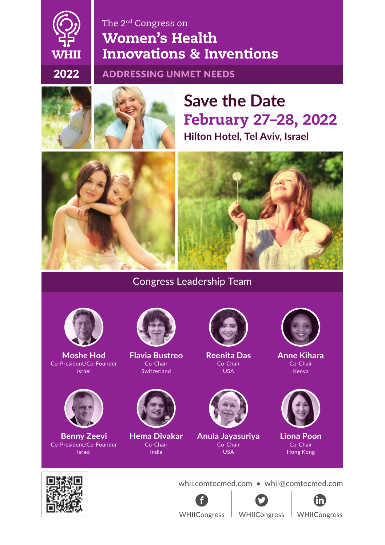### The 2nd Congress on Women's Health WHII Innovations & Inventions

#### 2022 ADDRESSING UNMET NEEDS



## **Hilton Hotel, Tel Aviv, Israel** February 27–28, 2022 **Save the Date**





#### Congress Leadership Team



**Moshe Hod** Co-President/Co-Founder Israel



**Benny Zeevi** Co-President/Co-Founder Israel



**Flavia Bustreo** Co-Chair Switzerland



**Hema Divakar** Co-Chair India



**Reenita Das** Co-Chair USA



**Anula Jayasuriya** Co-Chair USA



**Anne Kihara** Co-Chair Kenya



**Liona Poon** Co-Chair Hong Kong



whii.comtecmed.com • whii@comtecmed.com